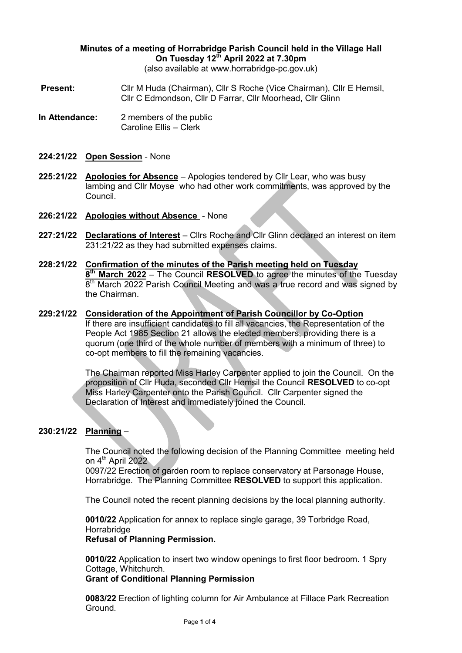# **Minutes of a meeting of Horrabridge Parish Council held in the Village Hall On Tuesday 12th April 2022 at 7.30pm**

(also available at www.horrabridge-pc.gov.uk)

- **Present:** Cllr M Huda (Chairman), Cllr S Roche (Vice Chairman), Cllr E Hemsil, Cllr C Edmondson, Cllr D Farrar, Cllr Moorhead, Cllr Glinn
- **In Attendance:** 2 members of the public Caroline Ellis – Clerk
- **224:21/22 Open Session** None
- **225:21/22 Apologies for Absence** Apologies tendered by Cllr Lear, who was busy lambing and Cllr Moyse who had other work commitments, was approved by the Council.
- **226:21/22 Apologies without Absence**  None
- **227:21/22 Declarations of Interest** Cllrs Roche and Cllr Glinn declared an interest on item 231:21/22 as they had submitted expenses claims.
- **228:21/22 Confirmation of the minutes of the Parish meeting held on Tuesday 8 th March 2022** – The Council **RESOLVED** to agree the minutes of the Tuesday 8<sup>th</sup> March 2022 Parish Council Meeting and was a true record and was signed by the Chairman.
- **229:21/22 Consideration of the Appointment of Parish Councillor by Co-Option** If there are insufficient candidates to fill all vacancies, the Representation of the People Act 1985 Section 21 allows the elected members, providing there is a quorum (one third of the whole number of members with a minimum of three) to co-opt members to fill the remaining vacancies.

The Chairman reported Miss Harley Carpenter applied to join the Council. On the proposition of Cllr Huda, seconded Cllr Hemsil the Council **RESOLVED** to co-opt Miss Harley Carpenter onto the Parish Council. Cllr Carpenter signed the Declaration of Interest and immediately joined the Council.

# **230:21/22 Planning** –

The Council noted the following decision of the Planning Committee meeting held on 4<sup>th</sup> April 2022

0097/22 Erection of garden room to replace conservatory at Parsonage House, Horrabridge. The Planning Committee **RESOLVED** to support this application.

The Council noted the recent planning decisions by the local planning authority.

**0010/22** Application for annex to replace single garage, 39 Torbridge Road, Horrabridge

#### **Refusal of Planning Permission.**

**0010/22** Application to insert two window openings to first floor bedroom. 1 Spry Cottage, Whitchurch.

#### **Grant of Conditional Planning Permission**

**0083/22** Erection of lighting column for Air Ambulance at Fillace Park Recreation Ground.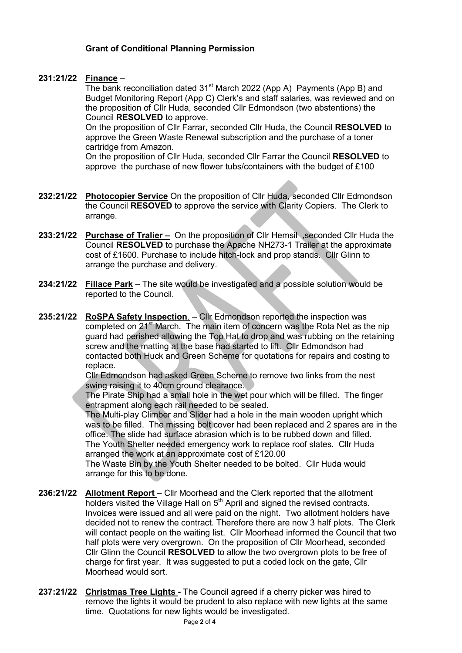### **Grant of Conditional Planning Permission**

# **231:21/22 Finance** –

The bank reconciliation dated  $31<sup>st</sup>$  March 2022 (App A) Payments (App B) and Budget Monitoring Report (App C) Clerk's and staff salaries, was reviewed and on the proposition of Cllr Huda, seconded Cllr Edmondson (two abstentions) the Council **RESOLVED** to approve.

On the proposition of Cllr Farrar, seconded Cllr Huda, the Council **RESOLVED** to approve the Green Waste Renewal subscription and the purchase of a toner cartridge from Amazon.

On the proposition of Cllr Huda, seconded Cllr Farrar the Council **RESOLVED** to approve the purchase of new flower tubs/containers with the budget of £100

- **232:21/22 Photocopier Service** On the proposition of Cllr Huda, seconded Cllr Edmondson the Council **RESOVED** to approve the service with Clarity Copiers. The Clerk to arrange.
- **233:21/22 Purchase of Tralier –** On the proposition of Cllr Hemsil ,seconded Cllr Huda the Council **RESOLVED** to purchase the Apache NH273-1 Trailer at the approximate cost of £1600. Purchase to include hitch-lock and prop stands. Cllr Glinn to arrange the purchase and delivery.
- **234:21/22 Fillace Park** The site would be investigated and a possible solution would be reported to the Council.
- **235:21/22 RoSPA Safety Inspection**. Cllr Edmondson reported the inspection was completed on 21<sup>st</sup> March. The main item of concern was the Rota Net as the nip guard had perished allowing the Top Hat to drop and was rubbing on the retaining screw and the matting at the base had started to lift. Cllr Edmondson had contacted both Huck and Green Scheme for quotations for repairs and costing to replace.

Cllr Edmondson had asked Green Scheme to remove two links from the nest swing raising it to 40cm ground clearance.

The Pirate Ship had a small hole in the wet pour which will be filled. The finger entrapment along each rail needed to be sealed.

The Multi-play Climber and Slider had a hole in the main wooden upright which was to be filled. The missing bolt cover had been replaced and 2 spares are in the office. The slide had surface abrasion which is to be rubbed down and filled. The Youth Shelter needed emergency work to replace roof slates. Cllr Huda arranged the work at an approximate cost of £120.00

The Waste Bin by the Youth Shelter needed to be bolted. Cllr Huda would arrange for this to be done.

- **236:21/22 Allotment Report** Cllr Moorhead and the Clerk reported that the allotment holders visited the Village Hall on  $5<sup>th</sup>$  April and signed the revised contracts. Invoices were issued and all were paid on the night. Two allotment holders have decided not to renew the contract. Therefore there are now 3 half plots. The Clerk will contact people on the waiting list. Cllr Moorhead informed the Council that two half plots were very overgrown. On the proposition of Cllr Moorhead, seconded Cllr Glinn the Council **RESOLVED** to allow the two overgrown plots to be free of charge for first year. It was suggested to put a coded lock on the gate, Cllr Moorhead would sort.
- **237:21/22 Christmas Tree Lights -** The Council agreed if a cherry picker was hired to remove the lights it would be prudent to also replace with new lights at the same time. Quotations for new lights would be investigated.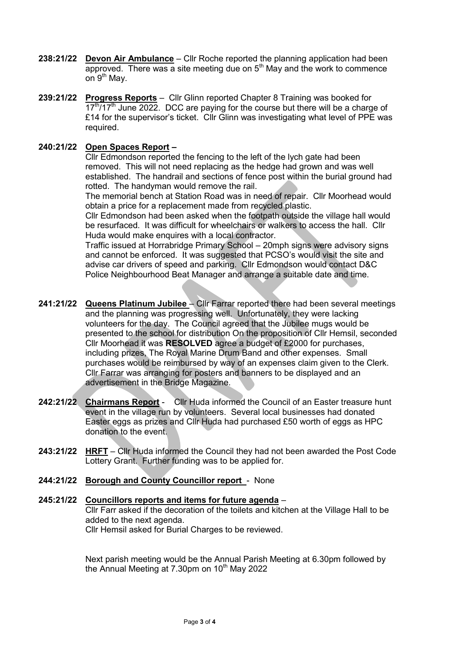- **238:21/22 Devon Air Ambulance** Cllr Roche reported the planning application had been approved. There was a site meeting due on  $5<sup>th</sup>$  May and the work to commence on  $9<sup>th</sup>$  May.
- **239:21/22 Progress Reports** Cllr Glinn reported Chapter 8 Training was booked for  $17<sup>th</sup>/17<sup>th</sup>$  June 2022. DCC are paying for the course but there will be a charge of £14 for the supervisor's ticket. Cllr Glinn was investigating what level of PPE was required.

### **240:21/22 Open Spaces Report –**

Cllr Edmondson reported the fencing to the left of the lych gate had been removed. This will not need replacing as the hedge had grown and was well established. The handrail and sections of fence post within the burial ground had rotted. The handyman would remove the rail.

The memorial bench at Station Road was in need of repair. Cllr Moorhead would obtain a price for a replacement made from recycled plastic.

Cllr Edmondson had been asked when the footpath outside the village hall would be resurfaced. It was difficult for wheelchairs or walkers to access the hall. Cllr Huda would make enquires with a local contractor.

Traffic issued at Horrabridge Primary School – 20mph signs were advisory signs and cannot be enforced. It was suggested that PCSO's would visit the site and advise car drivers of speed and parking. Cllr Edmondson would contact D&C Police Neighbourhood Beat Manager and arrange a suitable date and time.

- **241:21/22 Queens Platinum Jubilee**  Cllr Farrar reported there had been several meetings and the planning was progressing well. Unfortunately, they were lacking volunteers for the day. The Council agreed that the Jubilee mugs would be presented to the school for distribution On the proposition of Cllr Hemsil, seconded Cllr Moorhead it was **RESOLVED** agree a budget of £2000 for purchases, including prizes, The Royal Marine Drum Band and other expenses. Small purchases would be reimbursed by way of an expenses claim given to the Clerk. Cllr Farrar was arranging for posters and banners to be displayed and an advertisement in the Bridge Magazine.
- **242:21/22 Chairmans Report** Cllr Huda informed the Council of an Easter treasure hunt event in the village run by volunteers. Several local businesses had donated Easter eggs as prizes and Cllr Huda had purchased £50 worth of eggs as HPC donation to the event.
- **243:21/22 HRFT** Cllr Huda informed the Council they had not been awarded the Post Code Lottery Grant. Further funding was to be applied for.
- **244:21/22 Borough and County Councillor report**  None

#### **245:21/22 Councillors reports and items for future agenda** – Cllr Farr asked if the decoration of the toilets and kitchen at the Village Hall to be added to the next agenda. Cllr Hemsil asked for Burial Charges to be reviewed.

Next parish meeting would be the Annual Parish Meeting at 6.30pm followed by the Annual Meeting at  $7.30$ pm on  $10<sup>th</sup>$  May 2022